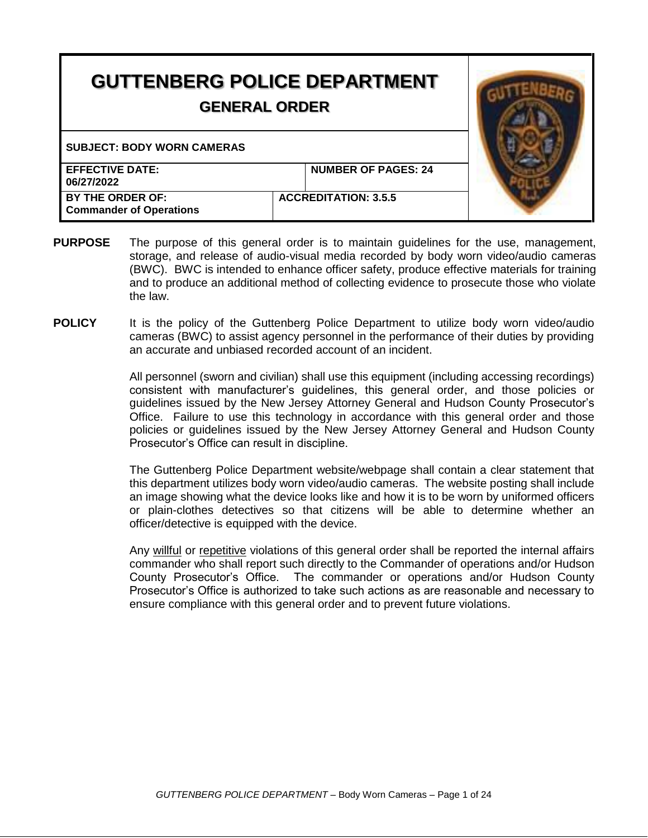| <b>GUTTENBERG POLICE DEPARTMENT</b><br><b>GENERAL ORDER</b> |  |                             |  |
|-------------------------------------------------------------|--|-----------------------------|--|
| <b>SUBJECT: BODY WORN CAMERAS</b>                           |  |                             |  |
| <b>EFFECTIVE DATE:</b><br>06/27/2022                        |  | <b>NUMBER OF PAGES: 24</b>  |  |
| BY THE ORDER OF:<br><b>Commander of Operations</b>          |  | <b>ACCREDITATION: 3.5.5</b> |  |

- **PURPOSE** The purpose of this general order is to maintain guidelines for the use, management, storage, and release of audio-visual media recorded by body worn video/audio cameras (BWC). BWC is intended to enhance officer safety, produce effective materials for training and to produce an additional method of collecting evidence to prosecute those who violate the law.
- **POLICY** It is the policy of the Guttenberg Police Department to utilize body worn video/audio cameras (BWC) to assist agency personnel in the performance of their duties by providing an accurate and unbiased recorded account of an incident.

All personnel (sworn and civilian) shall use this equipment (including accessing recordings) consistent with manufacturer's guidelines, this general order, and those policies or guidelines issued by the New Jersey Attorney General and Hudson County Prosecutor's Office. Failure to use this technology in accordance with this general order and those policies or guidelines issued by the New Jersey Attorney General and Hudson County Prosecutor's Office can result in discipline.

The Guttenberg Police Department website/webpage shall contain a clear statement that this department utilizes body worn video/audio cameras.The website posting shall include an image showing what the device looks like and how it is to be worn by uniformed officers or plain-clothes detectives so that citizens will be able to determine whether an officer/detective is equipped with the device.

Any willful or repetitive violations of this general order shall be reported the internal affairs commander who shall report such directly to the Commander of operations and/or Hudson County Prosecutor's Office. The commander or operations and/or Hudson County Prosecutor's Office is authorized to take such actions as are reasonable and necessary to ensure compliance with this general order and to prevent future violations.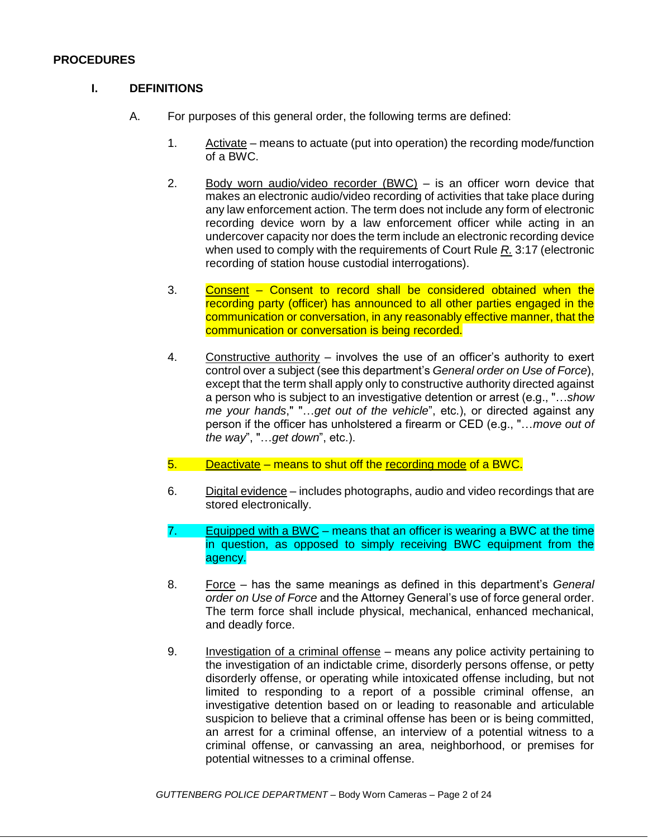#### **PROCEDURES**

#### **I. DEFINITIONS**

- A. For purposes of this general order, the following terms are defined:
	- 1. Activate means to actuate (put into operation) the recording mode/function of a BWC.
	- 2. Body worn audio/video recorder  $(BWC)$  is an officer worn device that makes an electronic audio/video recording of activities that take place during any law enforcement action. The term does not include any form of electronic recording device worn by a law enforcement officer while acting in an undercover capacity nor does the term include an electronic recording device when used to comply with the requirements of Court Rule *R.* 3:17 (electronic recording of station house custodial interrogations).
	- 3. Consent Consent to record shall be considered obtained when the recording party (officer) has announced to all other parties engaged in the communication or conversation, in any reasonably effective manner, that the communication or conversation is being recorded.
	- 4. Constructive authority involves the use of an officer's authority to exert control over a subject (see this department's *General order on Use of Force*), except that the term shall apply only to constructive authority directed against a person who is subject to an investigative detention or arrest (e.g., "…*show me your hands*," "…*get out of the vehicle*", etc.), or directed against any person if the officer has unholstered a firearm or CED (e.g., "…*move out of the way*", "…*get down*", etc.).
	- 5. Deactivate means to shut off the recording mode of a BWC.
	- 6. Digital evidence includes photographs, audio and video recordings that are stored electronically.
	- 7. Equipped with a BWC means that an officer is wearing a BWC at the time in question, as opposed to simply receiving BWC equipment from the agency.
	- 8. Force has the same meanings as defined in this department's *General order on Use of Force* and the Attorney General's use of force general order. The term force shall include physical, mechanical, enhanced mechanical, and deadly force.
	- 9. Investigation of a criminal offense means any police activity pertaining to the investigation of an indictable crime, disorderly persons offense, or petty disorderly offense, or operating while intoxicated offense including, but not limited to responding to a report of a possible criminal offense, an investigative detention based on or leading to reasonable and articulable suspicion to believe that a criminal offense has been or is being committed, an arrest for a criminal offense, an interview of a potential witness to a criminal offense, or canvassing an area, neighborhood, or premises for potential witnesses to a criminal offense.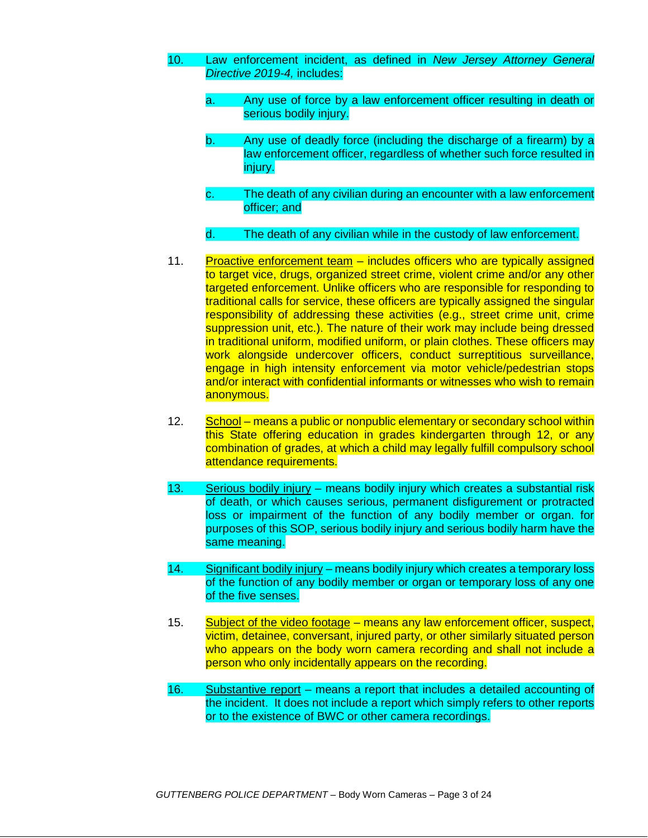- 10. Law enforcement incident, as defined in *New Jersey Attorney General Directive 2019-4,* includes:
	- a. Any use of force by a law enforcement officer resulting in death or serious bodily injury.
	- b. Any use of deadly force (including the discharge of a firearm) by a law enforcement officer, regardless of whether such force resulted in iniury.
	- c. The death of any civilian during an encounter with a law enforcement officer; and
	- d. The death of any civilian while in the custody of law enforcement.
- 11. Proactive enforcement team includes officers who are typically assigned to target vice, drugs, organized street crime, violent crime and/or any other targeted enforcement. Unlike officers who are responsible for responding to traditional calls for service, these officers are typically assigned the singular responsibility of addressing these activities (e.g., street crime unit, crime suppression unit, etc.). The nature of their work may include being dressed in traditional uniform, modified uniform, or plain clothes. These officers may work alongside undercover officers, conduct surreptitious surveillance, engage in high intensity enforcement via motor vehicle/pedestrian stops and/or interact with confidential informants or witnesses who wish to remain anonymous.
- 12. School means a public or nonpublic elementary or secondary school within this State offering education in grades kindergarten through 12, or any combination of grades, at which a child may legally fulfill compulsory school attendance requirements.
- 13. Serious bodily injury means bodily injury which creates a substantial risk of death, or which causes serious, permanent disfigurement or protracted loss or impairment of the function of any bodily member or organ. for purposes of this SOP, serious bodily injury and serious bodily harm have the same meaning.
- 14. Significant bodily injury means bodily injury which creates a temporary loss of the function of any bodily member or organ or temporary loss of any one of the five senses.
- 15. Subject of the video footage means any law enforcement officer, suspect, victim, detainee, conversant, injured party, or other similarly situated person who appears on the body worn camera recording and shall not include a person who only incidentally appears on the recording.
- 16. Substantive report means a report that includes a detailed accounting of the incident. It does not include a report which simply refers to other reports or to the existence of BWC or other camera recordings.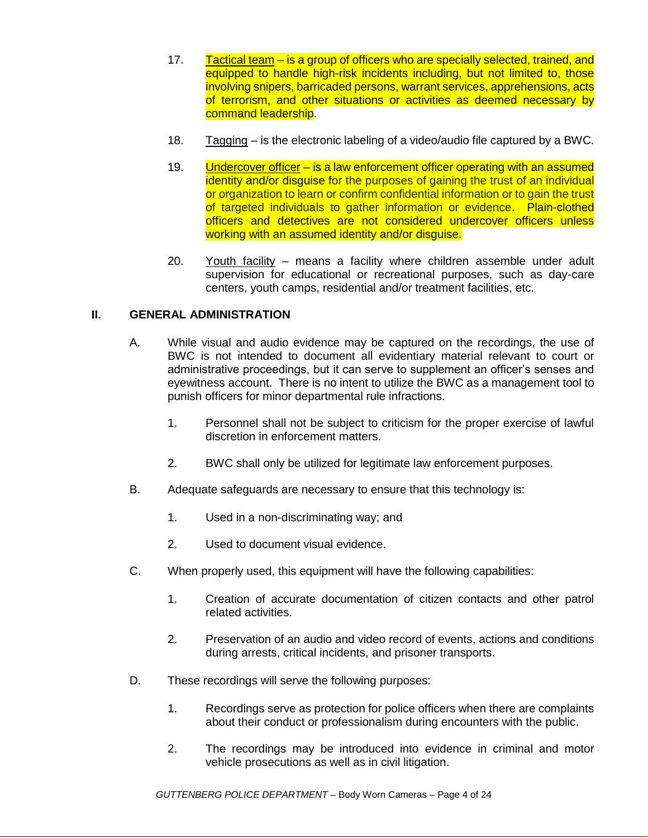- 17. Tactical team is a group of officers who are specially selected, trained, and equipped to handle high-risk incidents including, but not limited to, those involving snipers, barricaded persons, warrant services, apprehensions, acts of terrorism, and other situations or activities as deemed necessary by command leadership.
- 18. Tagging is the electronic labeling of a video/audio file captured by a BWC.
- 19. Undercover officer is a law enforcement officer operating with an assumed identity and/or disguise for the purposes of gaining the trust of an individual or organization to learn or confirm confidential information or to gain the trust of targeted individuals to gather information or evidence. Plain-clothed officers and detectives are not considered undercover officers unless working with an assumed identity and/or disquise.
- 20. Youth facility means a facility where children assemble under adult supervision for educational or recreational purposes, such as day-care centers, youth camps, residential and/or treatment facilities, etc.

# **II. GENERAL ADMINISTRATION**

- A. While visual and audio evidence may be captured on the recordings, the use of BWC is not intended to document all evidentiary material relevant to court or administrative proceedings, but it can serve to supplement an officer's senses and eyewitness account. There is no intent to utilize the BWC as a management tool to punish officers for minor departmental rule infractions.
	- 1. Personnel shall not be subject to criticism for the proper exercise of lawful discretion in enforcement matters.
	- 2. BWC shall only be utilized for legitimate law enforcement purposes.
- B. Adequate safeguards are necessary to ensure that this technology is:
	- 1. Used in a non-discriminating way; and
	- 2. Used to document visual evidence.
- C. When properly used, this equipment will have the following capabilities:
	- 1. Creation of accurate documentation of citizen contacts and other patrol related activities.
	- 2. Preservation of an audio and video record of events, actions and conditions during arrests, critical incidents, and prisoner transports.
- D. These recordings will serve the following purposes:
	- 1. Recordings serve as protection for police officers when there are complaints about their conduct or professionalism during encounters with the public.
	- 2. The recordings may be introduced into evidence in criminal and motor vehicle prosecutions as well as in civil litigation.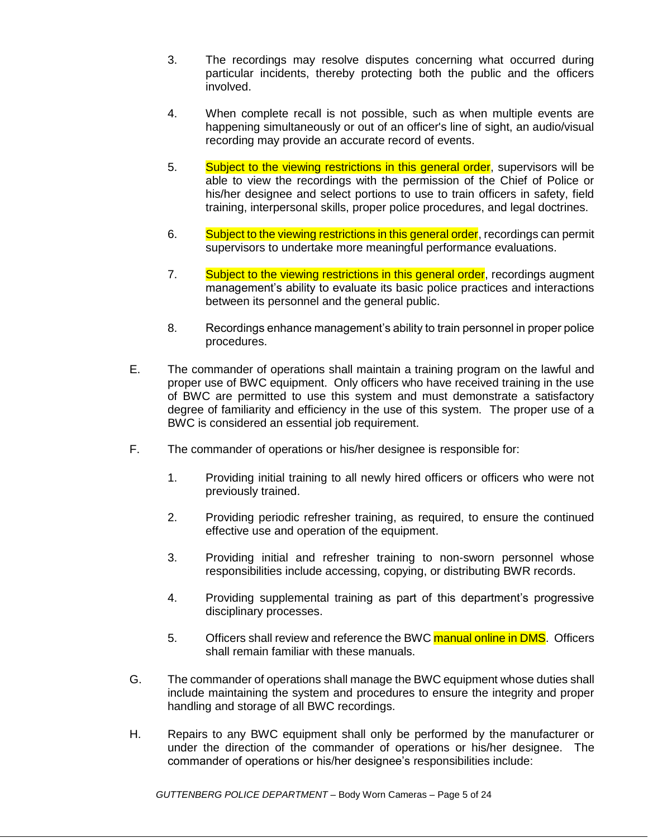- 3. The recordings may resolve disputes concerning what occurred during particular incidents, thereby protecting both the public and the officers involved.
- 4. When complete recall is not possible, such as when multiple events are happening simultaneously or out of an officer's line of sight, an audio/visual recording may provide an accurate record of events.
- 5. Subject to the viewing restrictions in this general order, supervisors will be able to view the recordings with the permission of the Chief of Police or his/her designee and select portions to use to train officers in safety, field training, interpersonal skills, proper police procedures, and legal doctrines.
- 6. Subject to the viewing restrictions in this general order, recordings can permit supervisors to undertake more meaningful performance evaluations.
- 7. Subject to the viewing restrictions in this general order, recordings augment management's ability to evaluate its basic police practices and interactions between its personnel and the general public.
- 8. Recordings enhance management's ability to train personnel in proper police procedures.
- E. The commander of operations shall maintain a training program on the lawful and proper use of BWC equipment. Only officers who have received training in the use of BWC are permitted to use this system and must demonstrate a satisfactory degree of familiarity and efficiency in the use of this system. The proper use of a BWC is considered an essential job requirement.
- F. The commander of operations or his/her designee is responsible for:
	- 1. Providing initial training to all newly hired officers or officers who were not previously trained.
	- 2. Providing periodic refresher training, as required, to ensure the continued effective use and operation of the equipment.
	- 3. Providing initial and refresher training to non-sworn personnel whose responsibilities include accessing, copying, or distributing BWR records.
	- 4. Providing supplemental training as part of this department's progressive disciplinary processes.
	- 5. Officers shall review and reference the BWC manual online in DMS. Officers shall remain familiar with these manuals.
- G. The commander of operations shall manage the BWC equipment whose duties shall include maintaining the system and procedures to ensure the integrity and proper handling and storage of all BWC recordings.
- H. Repairs to any BWC equipment shall only be performed by the manufacturer or under the direction of the commander of operations or his/her designee. The commander of operations or his/her designee's responsibilities include: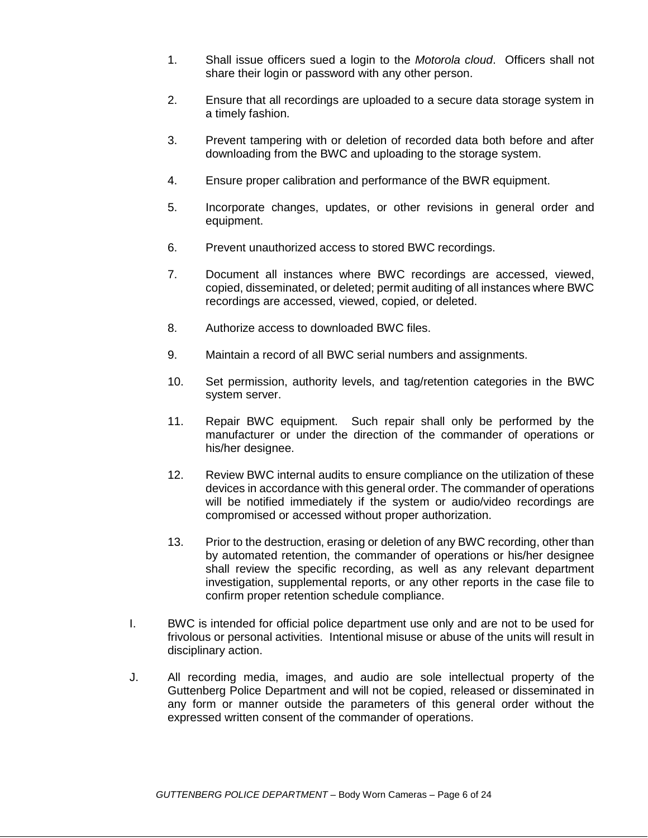- 1. Shall issue officers sued a login to the *Motorola cloud*. Officers shall not share their login or password with any other person.
- 2. Ensure that all recordings are uploaded to a secure data storage system in a timely fashion.
- 3. Prevent tampering with or deletion of recorded data both before and after downloading from the BWC and uploading to the storage system.
- 4. Ensure proper calibration and performance of the BWR equipment.
- 5. Incorporate changes, updates, or other revisions in general order and equipment.
- 6. Prevent unauthorized access to stored BWC recordings.
- 7. Document all instances where BWC recordings are accessed, viewed, copied, disseminated, or deleted; permit auditing of all instances where BWC recordings are accessed, viewed, copied, or deleted.
- 8. Authorize access to downloaded BWC files.
- 9. Maintain a record of all BWC serial numbers and assignments.
- 10. Set permission, authority levels, and tag/retention categories in the BWC system server.
- 11. Repair BWC equipment. Such repair shall only be performed by the manufacturer or under the direction of the commander of operations or his/her designee.
- 12. Review BWC internal audits to ensure compliance on the utilization of these devices in accordance with this general order. The commander of operations will be notified immediately if the system or audio/video recordings are compromised or accessed without proper authorization.
- 13. Prior to the destruction, erasing or deletion of any BWC recording, other than by automated retention, the commander of operations or his/her designee shall review the specific recording, as well as any relevant department investigation, supplemental reports, or any other reports in the case file to confirm proper retention schedule compliance.
- I. BWC is intended for official police department use only and are not to be used for frivolous or personal activities. Intentional misuse or abuse of the units will result in disciplinary action.
- J. All recording media, images, and audio are sole intellectual property of the Guttenberg Police Department and will not be copied, released or disseminated in any form or manner outside the parameters of this general order without the expressed written consent of the commander of operations.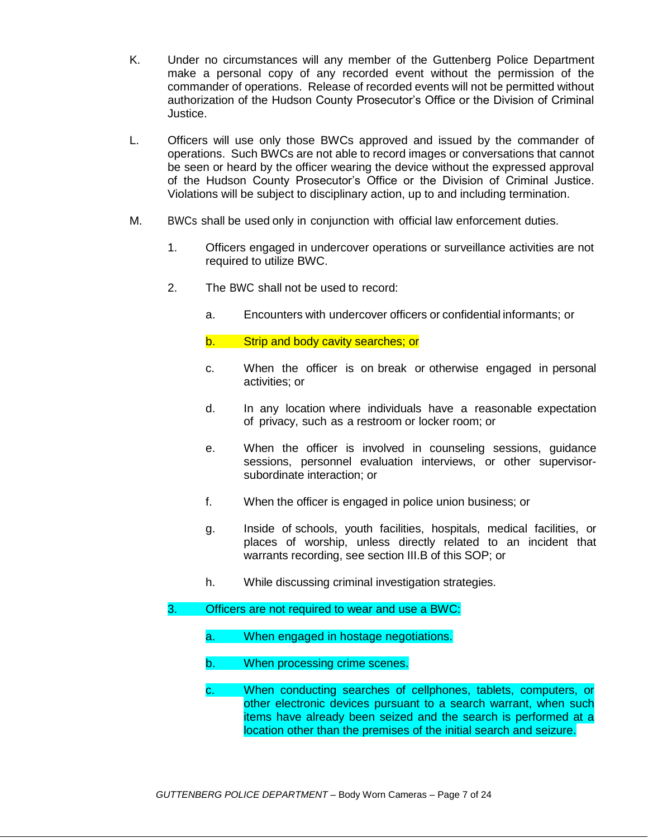- K. Under no circumstances will any member of the Guttenberg Police Department make a personal copy of any recorded event without the permission of the commander of operations. Release of recorded events will not be permitted without authorization of the Hudson County Prosecutor's Office or the Division of Criminal Justice.
- L. Officers will use only those BWCs approved and issued by the commander of operations. Such BWCs are not able to record images or conversations that cannot be seen or heard by the officer wearing the device without the expressed approval of the Hudson County Prosecutor's Office or the Division of Criminal Justice. Violations will be subject to disciplinary action, up to and including termination.
- M. BWCs shall be used only in conjunction with official law enforcement duties.
	- 1. Officers engaged in undercover operations or surveillance activities are not required to utilize BWC.
	- 2. The BWC shall not be used to record:
		- a. Encounters with undercover officers or confidential informants; or

b. Strip and body cavity searches; or

- c. When the officer is on break or otherwise engaged in personal activities; or
- d. In any location where individuals have a reasonable expectation of privacy, such as a restroom or locker room; or
- e. When the officer is involved in counseling sessions, guidance sessions, personnel evaluation interviews, or other supervisorsubordinate interaction; or
- f. When the officer is engaged in police union business; or
- g. Inside of schools, youth facilities, hospitals, medical facilities, or places of worship, unless directly related to an incident that warrants recording, see section III.B of this SOP; or
- h. While discussing criminal investigation strategies.

# 3. Officers are not required to wear and use a BWC:

- a. When engaged in hostage negotiations.
- b. When processing crime scenes.
- c. When conducting searches of cellphones, tablets, computers, or other electronic devices pursuant to a search warrant, when such items have already been seized and the search is performed at a location other than the premises of the initial search and seizure.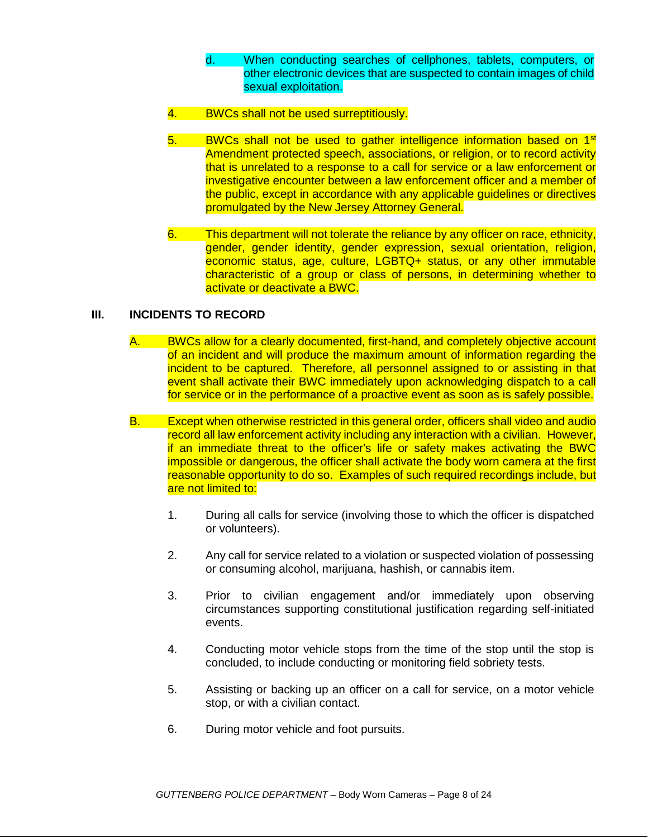- d. When conducting searches of cellphones, tablets, computers, or other electronic devices that are suspected to contain images of child sexual exploitation.
- 4. BWCs shall not be used surreptitiously.
- 5. BWCs shall not be used to gather intelligence information based on 1<sup>st</sup> Amendment protected speech, associations, or religion, or to record activity that is unrelated to a response to a call for service or a law enforcement or investigative encounter between a law enforcement officer and a member of the public, except in accordance with any applicable guidelines or directives promulgated by the New Jersey Attorney General.
- 6. This department will not tolerate the reliance by any officer on race, ethnicity, gender, gender identity, gender expression, sexual orientation, religion, economic status, age, culture, LGBTQ+ status, or any other immutable characteristic of a group or class of persons, in determining whether to activate or deactivate a BWC.

# **III. INCIDENTS TO RECORD**

- A. BWCs allow for a clearly documented, first-hand, and completely objective account of an incident and will produce the maximum amount of information regarding the incident to be captured. Therefore, all personnel assigned to or assisting in that event shall activate their BWC immediately upon acknowledging dispatch to a call for service or in the performance of a proactive event as soon as is safely possible.
- B. Except when otherwise restricted in this general order, officers shall video and audio record all law enforcement activity including any interaction with a civilian. However, if an immediate threat to the officer's life or safety makes activating the BWC impossible or dangerous, the officer shall activate the body worn camera at the first reasonable opportunity to do so. Examples of such required recordings include, but are not limited to:
	- 1. During all calls for service (involving those to which the officer is dispatched or volunteers).
	- 2. Any call for service related to a violation or suspected violation of possessing or consuming alcohol, marijuana, hashish, or cannabis item.
	- 3. Prior to civilian engagement and/or immediately upon observing circumstances supporting constitutional justification regarding self-initiated events.
	- 4. Conducting motor vehicle stops from the time of the stop until the stop is concluded, to include conducting or monitoring field sobriety tests.
	- 5. Assisting or backing up an officer on a call for service, on a motor vehicle stop, or with a civilian contact.
	- 6. During motor vehicle and foot pursuits.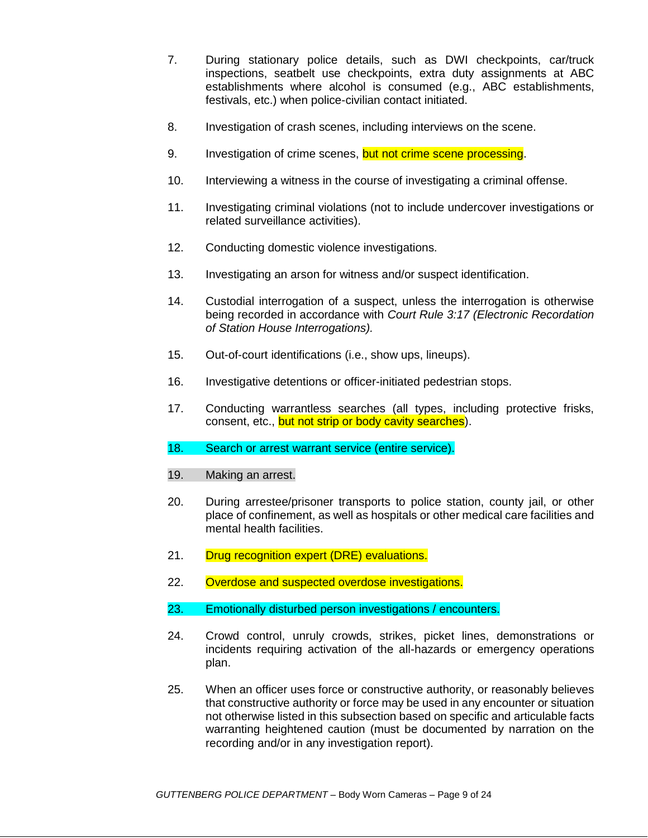- 7. During stationary police details, such as DWI checkpoints, car/truck inspections, seatbelt use checkpoints, extra duty assignments at ABC establishments where alcohol is consumed (e.g., ABC establishments, festivals, etc.) when police-civilian contact initiated.
- 8. Investigation of crash scenes, including interviews on the scene.
- 9. Investigation of crime scenes, but not crime scene processing.
- 10. Interviewing a witness in the course of investigating a criminal offense.
- 11. Investigating criminal violations (not to include undercover investigations or related surveillance activities).
- 12. Conducting domestic violence investigations.
- 13. Investigating an arson for witness and/or suspect identification.
- 14. Custodial interrogation of a suspect, unless the interrogation is otherwise being recorded in accordance with *Court Rule 3:17 (Electronic Recordation of Station House Interrogations).*
- 15. Out-of-court identifications (i.e., show ups, lineups).
- 16. Investigative detentions or officer-initiated pedestrian stops.
- 17. Conducting warrantless searches (all types, including protective frisks, consent, etc., but not strip or body cavity searches).
- 18. Search or arrest warrant service (entire service).
- 19. Making an arrest.
- 20. During arrestee/prisoner transports to police station, county jail, or other place of confinement, as well as hospitals or other medical care facilities and mental health facilities.
- 21. Drug recognition expert (DRE) evaluations.
- 22. Overdose and suspected overdose investigations.
- 23. Emotionally disturbed person investigations / encounters.
- 24. Crowd control, unruly crowds, strikes, picket lines, demonstrations or incidents requiring activation of the all-hazards or emergency operations plan.
- 25. When an officer uses force or constructive authority, or reasonably believes that constructive authority or force may be used in any encounter or situation not otherwise listed in this subsection based on specific and articulable facts warranting heightened caution (must be documented by narration on the recording and/or in any investigation report).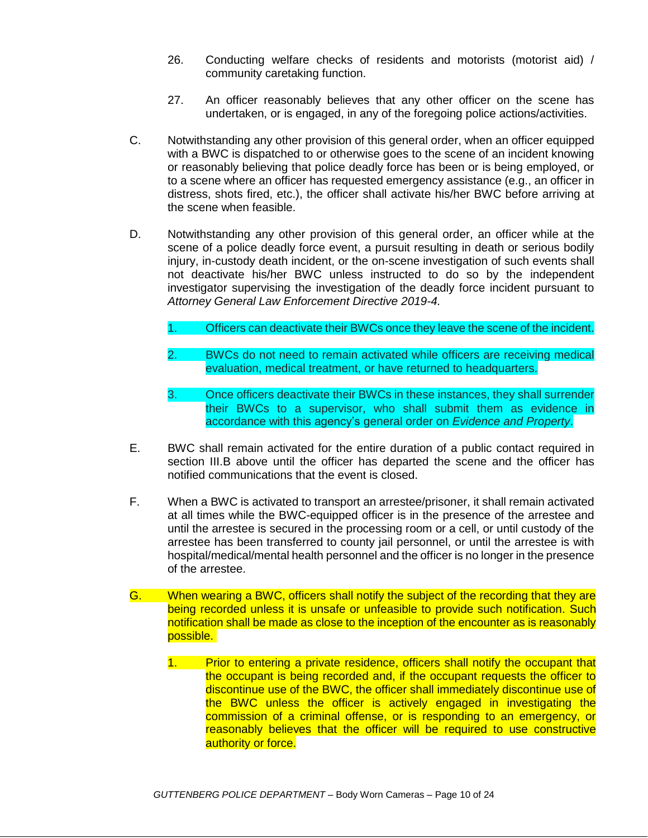- 26. Conducting welfare checks of residents and motorists (motorist aid) / community caretaking function.
- 27. An officer reasonably believes that any other officer on the scene has undertaken, or is engaged, in any of the foregoing police actions/activities.
- C. Notwithstanding any other provision of this general order, when an officer equipped with a BWC is dispatched to or otherwise goes to the scene of an incident knowing or reasonably believing that police deadly force has been or is being employed, or to a scene where an officer has requested emergency assistance (e.g., an officer in distress, shots fired, etc.), the officer shall activate his/her BWC before arriving at the scene when feasible.
- D. Notwithstanding any other provision of this general order, an officer while at the scene of a police deadly force event, a pursuit resulting in death or serious bodily injury, in-custody death incident, or the on-scene investigation of such events shall not deactivate his/her BWC unless instructed to do so by the independent investigator supervising the investigation of the deadly force incident pursuant to *Attorney General Law Enforcement Directive 2019-4.*
	- 1. Officers can deactivate their BWCs once they leave the scene of the incident.
	- 2. BWCs do not need to remain activated while officers are receiving medical evaluation, medical treatment, or have returned to headquarters.
	- 3. Once officers deactivate their BWCs in these instances, they shall surrender their BWCs to a supervisor, who shall submit them as evidence in accordance with this agency's general order on *Evidence and Property*.
- E. BWC shall remain activated for the entire duration of a public contact required in section III.B above until the officer has departed the scene and the officer has notified communications that the event is closed.
- F. When a BWC is activated to transport an arrestee/prisoner, it shall remain activated at all times while the BWC-equipped officer is in the presence of the arrestee and until the arrestee is secured in the processing room or a cell, or until custody of the arrestee has been transferred to county jail personnel, or until the arrestee is with hospital/medical/mental health personnel and the officer is no longer in the presence of the arrestee.
- G. When wearing a BWC, officers shall notify the subject of the recording that they are being recorded unless it is unsafe or unfeasible to provide such notification. Such notification shall be made as close to the inception of the encounter as is reasonably possible.
	- 1. Prior to entering a private residence, officers shall notify the occupant that the occupant is being recorded and, if the occupant requests the officer to discontinue use of the BWC, the officer shall immediately discontinue use of the BWC unless the officer is actively engaged in investigating the commission of a criminal offense, or is responding to an emergency, or reasonably believes that the officer will be required to use constructive authority or force.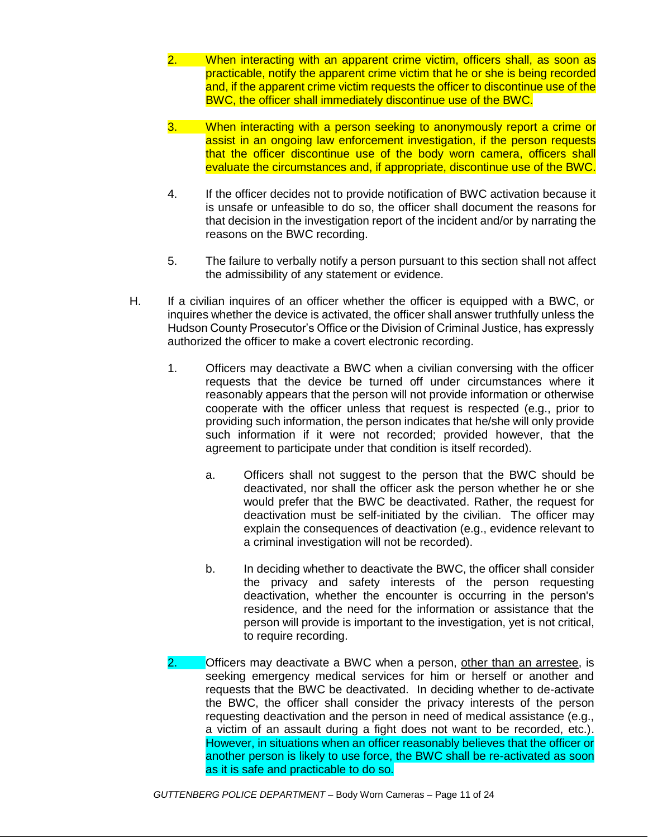- 2. When interacting with an apparent crime victim, officers shall, as soon as practicable, notify the apparent crime victim that he or she is being recorded and, if the apparent crime victim requests the officer to discontinue use of the BWC, the officer shall immediately discontinue use of the BWC.
- 3. When interacting with a person seeking to anonymously report a crime or assist in an ongoing law enforcement investigation, if the person requests that the officer discontinue use of the body worn camera, officers shall evaluate the circumstances and, if appropriate, discontinue use of the BWC.
- 4. If the officer decides not to provide notification of BWC activation because it is unsafe or unfeasible to do so, the officer shall document the reasons for that decision in the investigation report of the incident and/or by narrating the reasons on the BWC recording.
- 5. The failure to verbally notify a person pursuant to this section shall not affect the admissibility of any statement or evidence.
- H. If a civilian inquires of an officer whether the officer is equipped with a BWC, or inquires whether the device is activated, the officer shall answer truthfully unless the Hudson County Prosecutor's Office or the Division of Criminal Justice, has expressly authorized the officer to make a covert electronic recording.
	- 1. Officers may deactivate a BWC when a civilian conversing with the officer requests that the device be turned off under circumstances where it reasonably appears that the person will not provide information or otherwise cooperate with the officer unless that request is respected (e.g., prior to providing such information, the person indicates that he/she will only provide such information if it were not recorded; provided however, that the agreement to participate under that condition is itself recorded).
		- a. Officers shall not suggest to the person that the BWC should be deactivated, nor shall the officer ask the person whether he or she would prefer that the BWC be deactivated. Rather, the request for deactivation must be self-initiated by the civilian. The officer may explain the consequences of deactivation (e.g., evidence relevant to a criminal investigation will not be recorded).
		- b. In deciding whether to deactivate the BWC, the officer shall consider the privacy and safety interests of the person requesting deactivation, whether the encounter is occurring in the person's residence, and the need for the information or assistance that the person will provide is important to the investigation, yet is not critical, to require recording.
	- 2. **Officers may deactivate a BWC when a person, other than an arrestee, is** seeking emergency medical services for him or herself or another and requests that the BWC be deactivated. In deciding whether to de-activate the BWC, the officer shall consider the privacy interests of the person requesting deactivation and the person in need of medical assistance (e.g., a victim of an assault during a fight does not want to be recorded, etc.). However, in situations when an officer reasonably believes that the officer or another person is likely to use force, the BWC shall be re-activated as soon as it is safe and practicable to do so.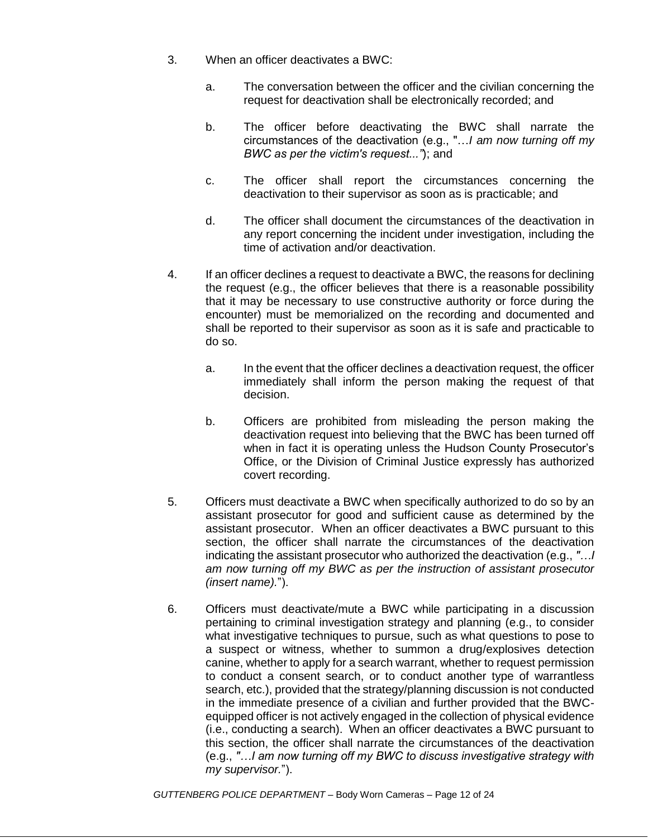- 3. When an officer deactivates a BWC:
	- a. The conversation between the officer and the civilian concerning the request for deactivation shall be electronically recorded; and
	- b. The officer before deactivating the BWC shall narrate the circumstances of the deactivation (e.g., "…*I am now turning off my BWC as per the victim's request..."*); and
	- c. The officer shall report the circumstances concerning the deactivation to their supervisor as soon as is practicable; and
	- d. The officer shall document the circumstances of the deactivation in any report concerning the incident under investigation, including the time of activation and/or deactivation.
- 4. If an officer declines a request to deactivate a BWC, the reasons for declining the request (e.g., the officer believes that there is a reasonable possibility that it may be necessary to use constructive authority or force during the encounter) must be memorialized on the recording and documented and shall be reported to their supervisor as soon as it is safe and practicable to do so.
	- a. In the event that the officer declines a deactivation request, the officer immediately shall inform the person making the request of that decision.
	- b. Officers are prohibited from misleading the person making the deactivation request into believing that the BWC has been turned off when in fact it is operating unless the Hudson County Prosecutor's Office, or the Division of Criminal Justice expressly has authorized covert recording.
- 5. Officers must deactivate a BWC when specifically authorized to do so by an assistant prosecutor for good and sufficient cause as determined by the assistant prosecutor. When an officer deactivates a BWC pursuant to this section, the officer shall narrate the circumstances of the deactivation indicating the assistant prosecutor who authorized the deactivation (e.g., *"…I am now turning off my BWC as per the instruction of assistant prosecutor (insert name).*").
- 6. Officers must deactivate/mute a BWC while participating in a discussion pertaining to criminal investigation strategy and planning (e.g., to consider what investigative techniques to pursue, such as what questions to pose to a suspect or witness, whether to summon a drug/explosives detection canine, whether to apply for a search warrant, whether to request permission to conduct a consent search, or to conduct another type of warrantless search, etc.), provided that the strategy/planning discussion is not conducted in the immediate presence of a civilian and further provided that the BWCequipped officer is not actively engaged in the collection of physical evidence (i.e., conducting a search). When an officer deactivates a BWC pursuant to this section, the officer shall narrate the circumstances of the deactivation (e.g., *"…I am now turning off my BWC to discuss investigative strategy with my supervisor.*").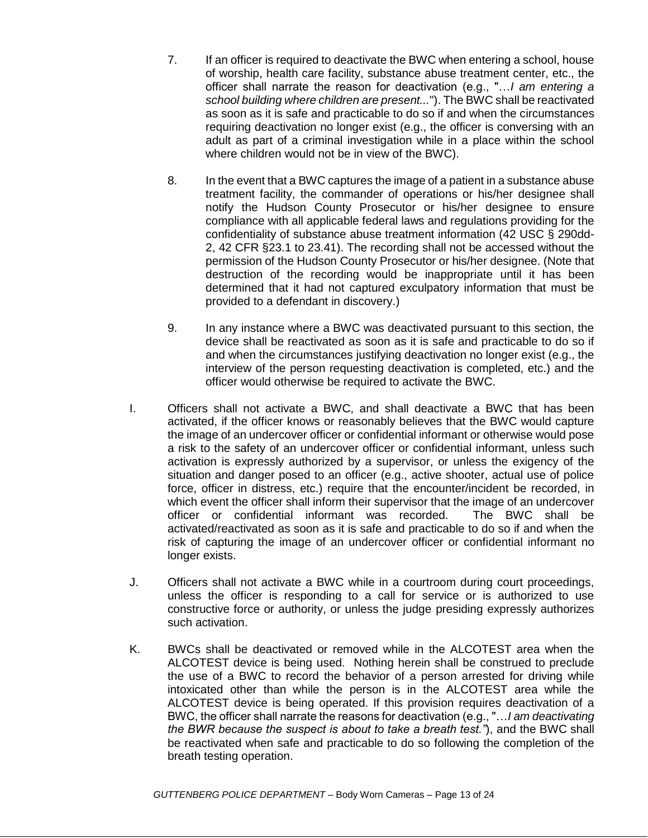- 7. If an officer is required to deactivate the BWC when entering a school, house of worship, health care facility, substance abuse treatment center, etc., the officer shall narrate the reason for deactivation (e.g., "…*I am entering a school building where children are present...*"). The BWC shall be reactivated as soon as it is safe and practicable to do so if and when the circumstances requiring deactivation no longer exist (e.g., the officer is conversing with an adult as part of a criminal investigation while in a place within the school where children would not be in view of the BWC).
- 8. In the event that a BWC captures the image of a patient in a substance abuse treatment facility, the commander of operations or his/her designee shall notify the Hudson County Prosecutor or his/her designee to ensure compliance with all applicable federal laws and regulations providing for the confidentiality of substance abuse treatment information (42 USC § 290dd-2, 42 CFR §23.1 to 23.41). The recording shall not be accessed without the permission of the Hudson County Prosecutor or his/her designee. (Note that destruction of the recording would be inappropriate until it has been determined that it had not captured exculpatory information that must be provided to a defendant in discovery.)
- 9. In any instance where a BWC was deactivated pursuant to this section, the device shall be reactivated as soon as it is safe and practicable to do so if and when the circumstances justifying deactivation no longer exist (e.g., the interview of the person requesting deactivation is completed, etc.) and the officer would otherwise be required to activate the BWC.
- I. Officers shall not activate a BWC, and shall deactivate a BWC that has been activated, if the officer knows or reasonably believes that the BWC would capture the image of an undercover officer or confidential informant or otherwise would pose a risk to the safety of an undercover officer or confidential informant, unless such activation is expressly authorized by a supervisor, or unless the exigency of the situation and danger posed to an officer (e.g., active shooter, actual use of police force, officer in distress, etc.) require that the encounter/incident be recorded, in which event the officer shall inform their supervisor that the image of an undercover officer or confidential informant was recorded. The BWC shall be activated/reactivated as soon as it is safe and practicable to do so if and when the risk of capturing the image of an undercover officer or confidential informant no longer exists.
- J. Officers shall not activate a BWC while in a courtroom during court proceedings, unless the officer is responding to a call for service or is authorized to use constructive force or authority, or unless the judge presiding expressly authorizes such activation.
- K. BWCs shall be deactivated or removed while in the ALCOTEST area when the ALCOTEST device is being used. Nothing herein shall be construed to preclude the use of a BWC to record the behavior of a person arrested for driving while intoxicated other than while the person is in the ALCOTEST area while the ALCOTEST device is being operated. If this provision requires deactivation of a BWC, the officer shall narrate the reasons for deactivation (e.g., "…*I am deactivating the BWR because the suspect is about to take a breath test."*), and the BWC shall be reactivated when safe and practicable to do so following the completion of the breath testing operation.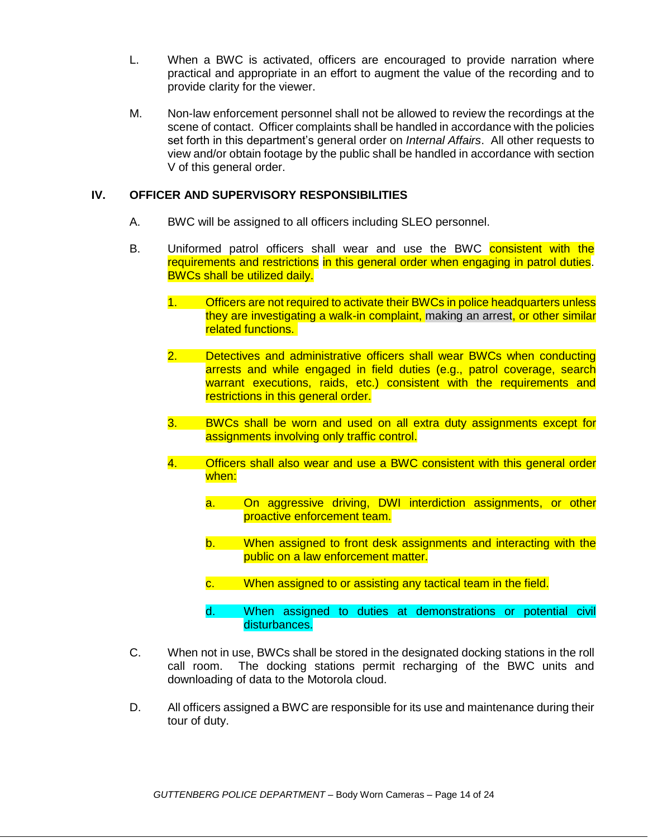- L. When a BWC is activated, officers are encouraged to provide narration where practical and appropriate in an effort to augment the value of the recording and to provide clarity for the viewer.
- M. Non-law enforcement personnel shall not be allowed to review the recordings at the scene of contact. Officer complaints shall be handled in accordance with the policies set forth in this department's general order on *Internal Affairs*. All other requests to view and/or obtain footage by the public shall be handled in accordance with section V of this general order.

### **IV. OFFICER AND SUPERVISORY RESPONSIBILITIES**

- A. BWC will be assigned to all officers including SLEO personnel.
- B. Uniformed patrol officers shall wear and use the BWC consistent with the requirements and restrictions in this general order when engaging in patrol duties. BWCs shall be utilized daily.
	- 1. Officers are not required to activate their BWCs in police headquarters unless they are investigating a walk-in complaint, making an arrest, or other similar related functions.
	- 2. Detectives and administrative officers shall wear BWCs when conducting arrests and while engaged in field duties (e.g., patrol coverage, search warrant executions, raids, etc.) consistent with the requirements and restrictions in this general order.
	- 3. BWCs shall be worn and used on all extra duty assignments except for assignments involving only traffic control.
	- 4. Officers shall also wear and use a BWC consistent with this general order when:
		- a. On aggressive driving, DWI interdiction assignments, or other proactive enforcement team.
		- b. When assigned to front desk assignments and interacting with the public on a law enforcement matter.
		- c. When assigned to or assisting any tactical team in the field.
		- d. When assigned to duties at demonstrations or potential civil disturbances.
- C. When not in use, BWCs shall be stored in the designated docking stations in the roll call room. The docking stations permit recharging of the BWC units and downloading of data to the Motorola cloud.
- D. All officers assigned a BWC are responsible for its use and maintenance during their tour of duty.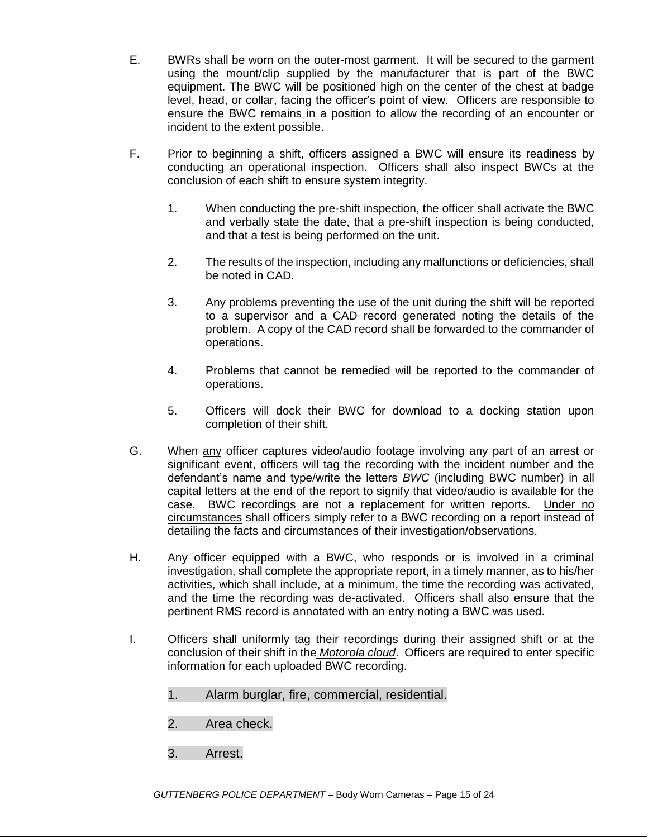- E. BWRs shall be worn on the outer-most garment. It will be secured to the garment using the mount/clip supplied by the manufacturer that is part of the BWC equipment. The BWC will be positioned high on the center of the chest at badge level, head, or collar, facing the officer's point of view. Officers are responsible to ensure the BWC remains in a position to allow the recording of an encounter or incident to the extent possible.
- F. Prior to beginning a shift, officers assigned a BWC will ensure its readiness by conducting an operational inspection. Officers shall also inspect BWCs at the conclusion of each shift to ensure system integrity.
	- 1. When conducting the pre-shift inspection, the officer shall activate the BWC and verbally state the date, that a pre-shift inspection is being conducted, and that a test is being performed on the unit.
	- 2. The results of the inspection, including any malfunctions or deficiencies, shall be noted in CAD.
	- 3. Any problems preventing the use of the unit during the shift will be reported to a supervisor and a CAD record generated noting the details of the problem. A copy of the CAD record shall be forwarded to the commander of operations.
	- 4. Problems that cannot be remedied will be reported to the commander of operations.
	- 5. Officers will dock their BWC for download to a docking station upon completion of their shift.
- G. When any officer captures video/audio footage involving any part of an arrest or significant event, officers will tag the recording with the incident number and the defendant's name and type/write the letters *BWC* (including BWC number) in all capital letters at the end of the report to signify that video/audio is available for the case. BWC recordings are not a replacement for written reports. Under no circumstances shall officers simply refer to a BWC recording on a report instead of detailing the facts and circumstances of their investigation/observations.
- H. Any officer equipped with a BWC, who responds or is involved in a criminal investigation, shall complete the appropriate report, in a timely manner, as to his/her activities, which shall include, at a minimum, the time the recording was activated, and the time the recording was de-activated. Officers shall also ensure that the pertinent RMS record is annotated with an entry noting a BWC was used.
- I. Officers shall uniformly tag their recordings during their assigned shift or at the conclusion of their shift in the *Motorola cloud*. Officers are required to enter specific information for each uploaded BWC recording.
	- 1. Alarm burglar, fire, commercial, residential.
	- 2. Area check.
	- 3. Arrest.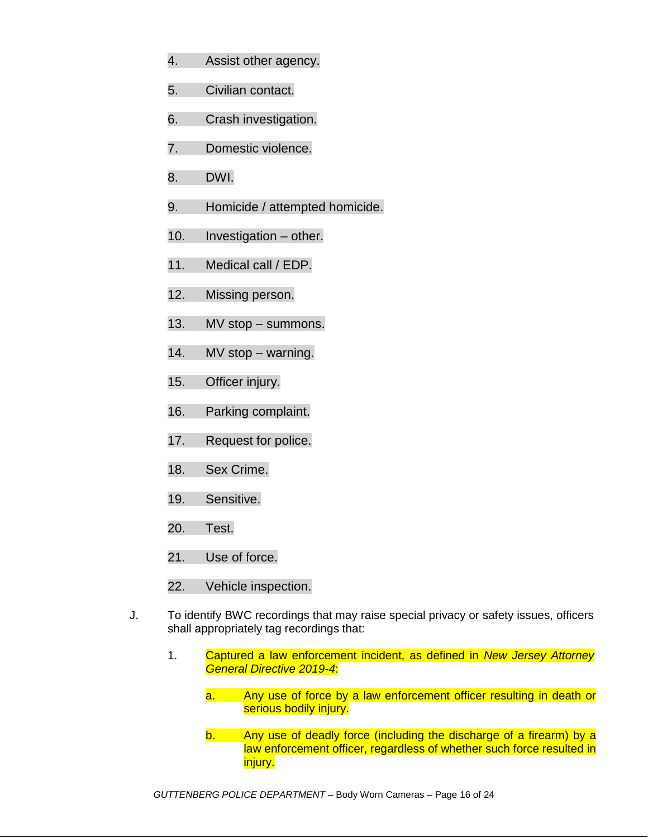- 4. Assist other agency.
- 5. Civilian contact.
- 6. Crash investigation.
- 7. Domestic violence.
- 8. DWI.
- 9. Homicide / attempted homicide.
- 10. Investigation other.
- 11. Medical call / EDP.
- 12. Missing person.
- 13. MV stop summons.
- 14. MV stop warning.
- 15. Officer injury.
- 16. Parking complaint.
- 17. Request for police.
- 18. Sex Crime.
- 19. Sensitive.
- 20. Test.
- 21. Use of force.
- 22. Vehicle inspection.
- J. To identify BWC recordings that may raise special privacy or safety issues, officers shall appropriately tag recordings that:
	- 1. Captured a law enforcement incident, as defined in *New Jersey Attorney General Directive 2019-4*:
		- a. Any use of force by a law enforcement officer resulting in death or serious bodily injury.
		- b. Any use of deadly force (including the discharge of a firearm) by a law enforcement officer, regardless of whether such force resulted in injury.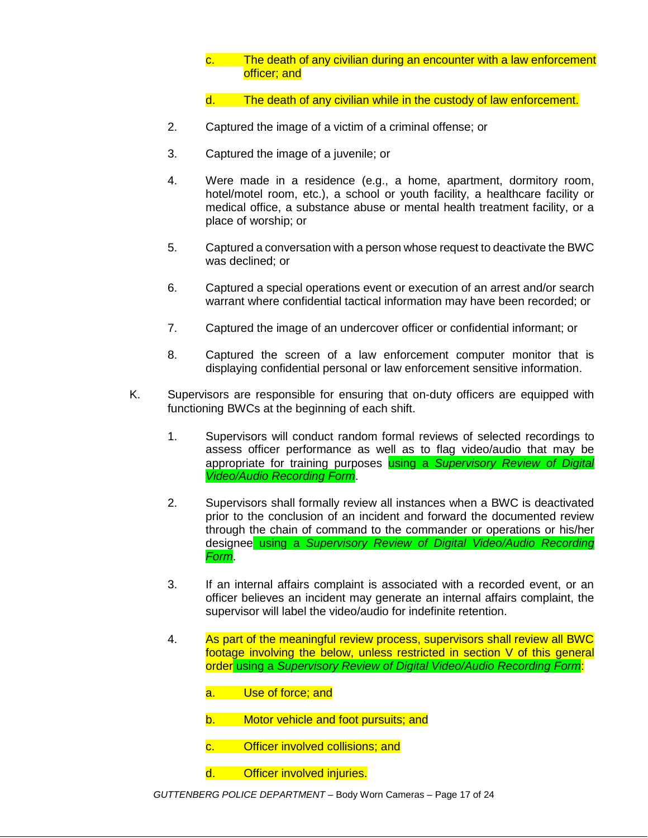- c. The death of any civilian during an encounter with a law enforcement officer; and
- d. The death of any civilian while in the custody of law enforcement.
- 2. Captured the image of a victim of a criminal offense; or
- 3. Captured the image of a juvenile; or
- 4. Were made in a residence (e.g., a home, apartment, dormitory room, hotel/motel room, etc.), a school or youth facility, a healthcare facility or medical office, a substance abuse or mental health treatment facility, or a place of worship; or
- 5. Captured a conversation with a person whose request to deactivate the BWC was declined; or
- 6. Captured a special operations event or execution of an arrest and/or search warrant where confidential tactical information may have been recorded; or
- 7. Captured the image of an undercover officer or confidential informant; or
- 8. Captured the screen of a law enforcement computer monitor that is displaying confidential personal or law enforcement sensitive information.
- K. Supervisors are responsible for ensuring that on-duty officers are equipped with functioning BWCs at the beginning of each shift.
	- 1. Supervisors will conduct random formal reviews of selected recordings to assess officer performance as well as to flag video/audio that may be appropriate for training purposes using a *Supervisory Review of Digital Video/Audio Recording Form*.
	- 2. Supervisors shall formally review all instances when a BWC is deactivated prior to the conclusion of an incident and forward the documented review through the chain of command to the commander or operations or his/her designee using a *Supervisory Review of Digital Video/Audio Recording Form*.
	- 3. If an internal affairs complaint is associated with a recorded event, or an officer believes an incident may generate an internal affairs complaint, the supervisor will label the video/audio for indefinite retention.
	- 4. As part of the meaningful review process, supervisors shall review all BWC footage involving the below, unless restricted in section V of this general order using a *Supervisory Review of Digital Video/Audio Recording Form*:
		- a. Use of force; and
		- b. Motor vehicle and foot pursuits; and
		- c. Officer involved collisions; and
		- d. Officer involved injuries.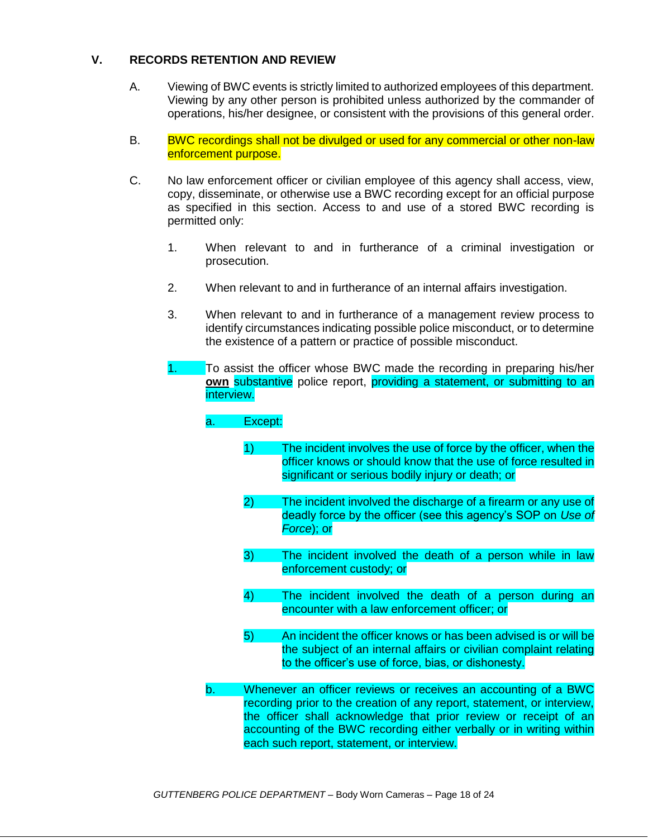### **V. RECORDS RETENTION AND REVIEW**

- A. Viewing of BWC events is strictly limited to authorized employees of this department. Viewing by any other person is prohibited unless authorized by the commander of operations, his/her designee, or consistent with the provisions of this general order.
- B. BWC recordings shall not be divulged or used for any commercial or other non-law enforcement purpose.
- C. No law enforcement officer or civilian employee of this agency shall access, view, copy, disseminate, or otherwise use a BWC recording except for an official purpose as specified in this section. Access to and use of a stored BWC recording is permitted only:
	- 1. When relevant to and in furtherance of a criminal investigation or prosecution.
	- 2. When relevant to and in furtherance of an internal affairs investigation.
	- 3. When relevant to and in furtherance of a management review process to identify circumstances indicating possible police misconduct, or to determine the existence of a pattern or practice of possible misconduct.
	- 1. To assist the officer whose BWC made the recording in preparing his/her **own** substantive police report, providing a statement, or submitting to an interview.

| a. | Except:      |                                                                                                                                                                                                                                                                                                                                     |
|----|--------------|-------------------------------------------------------------------------------------------------------------------------------------------------------------------------------------------------------------------------------------------------------------------------------------------------------------------------------------|
|    | 1)           | The incident involves the use of force by the officer, when the<br>officer knows or should know that the use of force resulted in<br>significant or serious bodily injury or death; or                                                                                                                                              |
|    | $\mathbf{2}$ | The incident involved the discharge of a firearm or any use of<br>deadly force by the officer (see this agency's SOP on Use of<br>Force); or                                                                                                                                                                                        |
|    | 3)           | The incident involved the death of a person while in law<br>enforcement custody; or                                                                                                                                                                                                                                                 |
|    | 4)           | The incident involved the death of a person during an<br>encounter with a law enforcement officer; or                                                                                                                                                                                                                               |
|    | 5)           | An incident the officer knows or has been advised is or will be<br>the subject of an internal affairs or civilian complaint relating<br>to the officer's use of force, bias, or dishonesty.                                                                                                                                         |
| b. |              | Whenever an officer reviews or receives an accounting of a BWC<br>recording prior to the creation of any report, statement, or interview,<br>the officer shall acknowledge that prior review or receipt of an<br>accounting of the BWC recording either verbally or in writing within<br>each such report, statement, or interview. |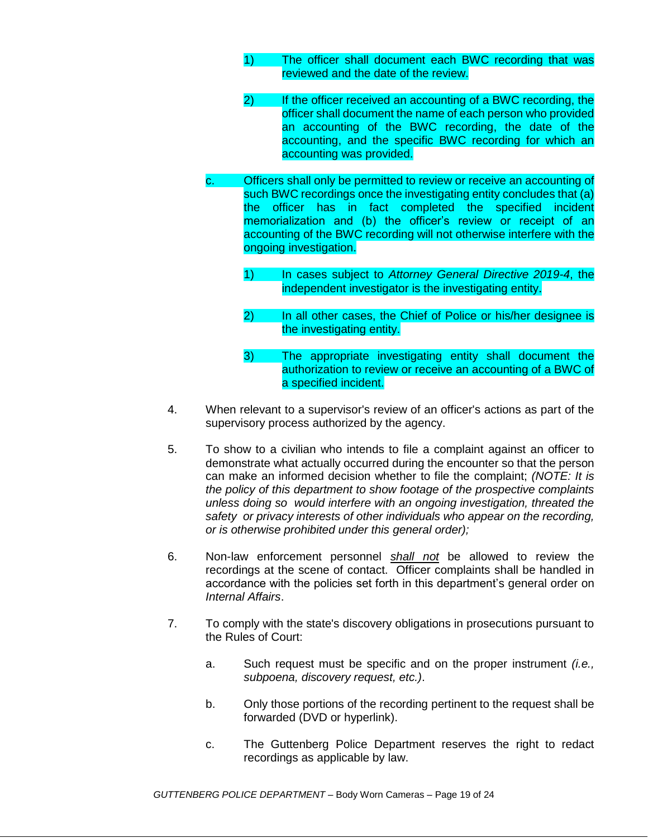- 1) The officer shall document each BWC recording that was reviewed and the date of the review.
- 2) If the officer received an accounting of a BWC recording, the officer shall document the name of each person who provided an accounting of the BWC recording, the date of the accounting, and the specific BWC recording for which an accounting was provided.
- c. Officers shall only be permitted to review or receive an accounting of such BWC recordings once the investigating entity concludes that (a) the officer has in fact completed the specified incident memorialization and (b) the officer's review or receipt of an accounting of the BWC recording will not otherwise interfere with the ongoing investigation.
	- 1) In cases subject to *Attorney General Directive 2019-4*, the independent investigator is the investigating entity.
	- 2) In all other cases, the Chief of Police or his/her designee is the investigating entity.
	- 3) The appropriate investigating entity shall document the authorization to review or receive an accounting of a BWC of a specified incident.
- 4. When relevant to a supervisor's review of an officer's actions as part of the supervisory process authorized by the agency.
- 5. To show to a civilian who intends to file a complaint against an officer to demonstrate what actually occurred during the encounter so that the person can make an informed decision whether to file the complaint; *(NOTE: It is the policy of this department to show footage of the prospective complaints unless doing so would interfere with an ongoing investigation, threated the safety or privacy interests of other individuals who appear on the recording, or is otherwise prohibited under this general order);*
- 6. Non-law enforcement personnel *shall not* be allowed to review the recordings at the scene of contact. Officer complaints shall be handled in accordance with the policies set forth in this department's general order on *Internal Affairs*.
- 7. To comply with the state's discovery obligations in prosecutions pursuant to the Rules of Court:
	- a. Such request must be specific and on the proper instrument *(i.e., subpoena, discovery request, etc.)*.
	- b. Only those portions of the recording pertinent to the request shall be forwarded (DVD or hyperlink).
	- c. The Guttenberg Police Department reserves the right to redact recordings as applicable by law.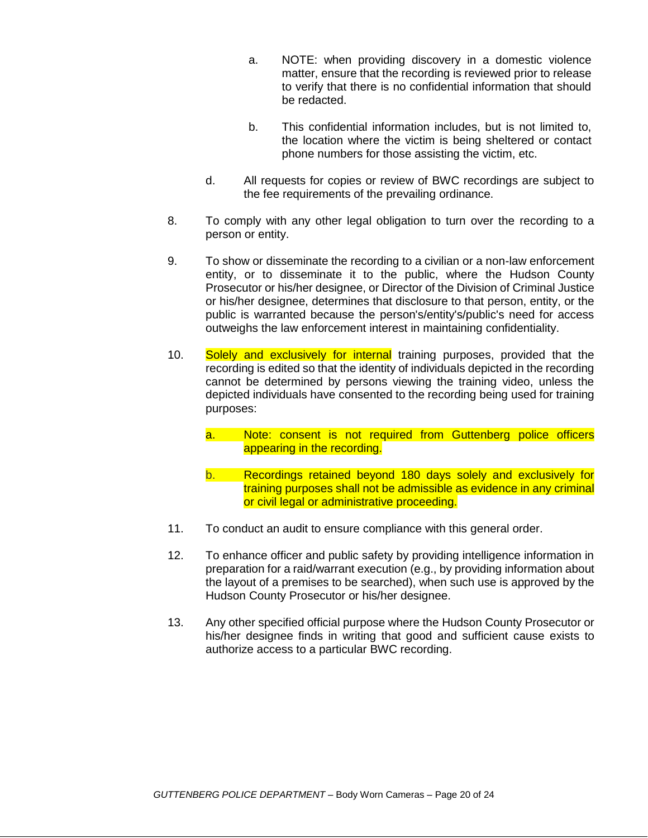- a. NOTE: when providing discovery in a domestic violence matter, ensure that the recording is reviewed prior to release to verify that there is no confidential information that should be redacted.
- b. This confidential information includes, but is not limited to, the location where the victim is being sheltered or contact phone numbers for those assisting the victim, etc.
- d. All requests for copies or review of BWC recordings are subject to the fee requirements of the prevailing ordinance.
- 8. To comply with any other legal obligation to turn over the recording to a person or entity.
- 9. To show or disseminate the recording to a civilian or a non-law enforcement entity, or to disseminate it to the public, where the Hudson County Prosecutor or his/her designee, or Director of the Division of Criminal Justice or his/her designee, determines that disclosure to that person, entity, or the public is warranted because the person's/entity's/public's need for access outweighs the law enforcement interest in maintaining confidentiality.
- 10. Solely and exclusively for internal training purposes, provided that the recording is edited so that the identity of individuals depicted in the recording cannot be determined by persons viewing the training video, unless the depicted individuals have consented to the recording being used for training purposes:
	- a. Note: consent is not required from Guttenberg police officers appearing in the recording.
	- b. Recordings retained beyond 180 days solely and exclusively for training purposes shall not be admissible as evidence in any criminal or civil legal or administrative proceeding.
- 11. To conduct an audit to ensure compliance with this general order.
- 12. To enhance officer and public safety by providing intelligence information in preparation for a raid/warrant execution (e.g., by providing information about the layout of a premises to be searched), when such use is approved by the Hudson County Prosecutor or his/her designee.
- 13. Any other specified official purpose where the Hudson County Prosecutor or his/her designee finds in writing that good and sufficient cause exists to authorize access to a particular BWC recording.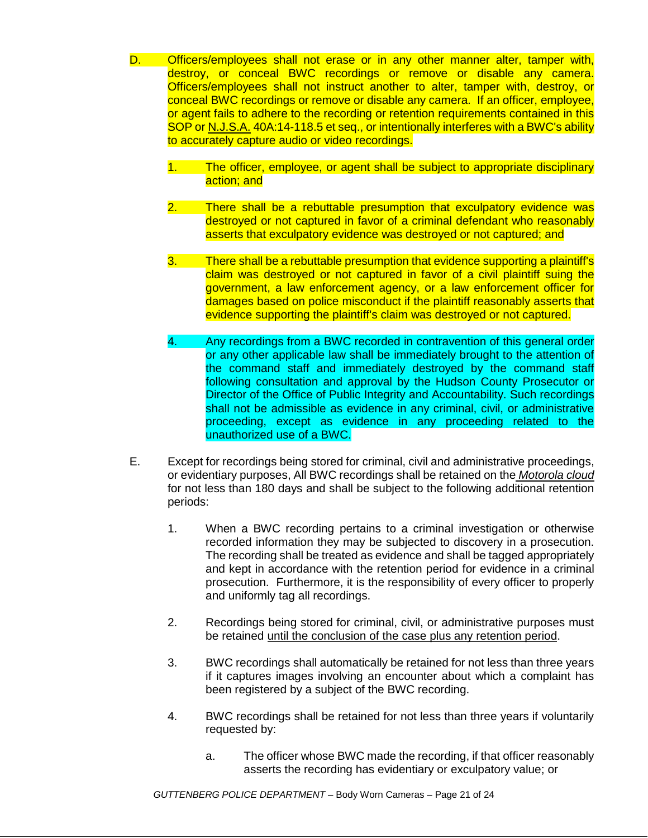- D. Officers/employees shall not erase or in any other manner alter, tamper with, destroy, or conceal BWC recordings or remove or disable any camera. Officers/employees shall not instruct another to alter, tamper with, destroy, or conceal BWC recordings or remove or disable any camera. If an officer, employee, or agent fails to adhere to the recording or retention requirements contained in this SOP or N.J.S.A. 40A:14-118.5 et seq., or intentionally interferes with a BWC's ability to accurately capture audio or video recordings.
	- 1. The officer, employee, or agent shall be subject to appropriate disciplinary action; and
	- 2. There shall be a rebuttable presumption that exculpatory evidence was destroyed or not captured in favor of a criminal defendant who reasonably asserts that exculpatory evidence was destroyed or not captured; and
	- 3. There shall be a rebuttable presumption that evidence supporting a plaintiff's claim was destroyed or not captured in favor of a civil plaintiff suing the government, a law enforcement agency, or a law enforcement officer for damages based on police misconduct if the plaintiff reasonably asserts that evidence supporting the plaintiff's claim was destroyed or not captured.
	- 4. Any recordings from a BWC recorded in contravention of this general order or any other applicable law shall be immediately brought to the attention of the command staff and immediately destroyed by the command staff following consultation and approval by the Hudson County Prosecutor or Director of the Office of Public Integrity and Accountability. Such recordings shall not be admissible as evidence in any criminal, civil, or administrative proceeding, except as evidence in any proceeding related to the unauthorized use of a BWC.
- E. Except for recordings being stored for criminal, civil and administrative proceedings, or evidentiary purposes, All BWC recordings shall be retained on the *Motorola cloud* for not less than 180 days and shall be subject to the following additional retention periods:
	- 1. When a BWC recording pertains to a criminal investigation or otherwise recorded information they may be subjected to discovery in a prosecution. The recording shall be treated as evidence and shall be tagged appropriately and kept in accordance with the retention period for evidence in a criminal prosecution. Furthermore, it is the responsibility of every officer to properly and uniformly tag all recordings.
	- 2. Recordings being stored for criminal, civil, or administrative purposes must be retained until the conclusion of the case plus any retention period.
	- 3. BWC recordings shall automatically be retained for not less than three years if it captures images involving an encounter about which a complaint has been registered by a subject of the BWC recording.
	- 4. BWC recordings shall be retained for not less than three years if voluntarily requested by:
		- a. The officer whose BWC made the recording, if that officer reasonably asserts the recording has evidentiary or exculpatory value; or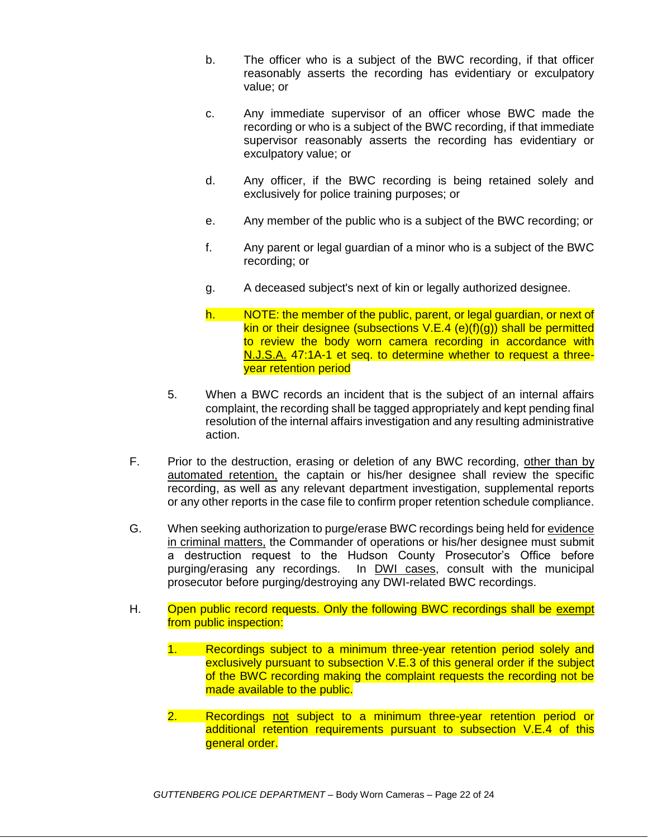- b. The officer who is a subject of the BWC recording, if that officer reasonably asserts the recording has evidentiary or exculpatory value; or
- c. Any immediate supervisor of an officer whose BWC made the recording or who is a subject of the BWC recording, if that immediate supervisor reasonably asserts the recording has evidentiary or exculpatory value; or
- d. Any officer, if the BWC recording is being retained solely and exclusively for police training purposes; or
- e. Any member of the public who is a subject of the BWC recording; or
- f. Any parent or legal guardian of a minor who is a subject of the BWC recording; or
- g. A deceased subject's next of kin or legally authorized designee.
- h. NOTE: the member of the public, parent, or legal guardian, or next of kin or their designee (subsections  $V.E.4$  (e)(f)(g)) shall be permitted to review the body worn camera recording in accordance with N.J.S.A. 47:1A-1 et seq. to determine whether to request a threeyear retention period
- 5. When a BWC records an incident that is the subject of an internal affairs complaint, the recording shall be tagged appropriately and kept pending final resolution of the internal affairs investigation and any resulting administrative action.
- F. Prior to the destruction, erasing or deletion of any BWC recording, other than by automated retention, the captain or his/her designee shall review the specific recording, as well as any relevant department investigation, supplemental reports or any other reports in the case file to confirm proper retention schedule compliance.
- G. When seeking authorization to purge/erase BWC recordings being held for evidence in criminal matters, the Commander of operations or his/her designee must submit a destruction request to the Hudson County Prosecutor's Office before purging/erasing any recordings. In DWI cases, consult with the municipal prosecutor before purging/destroying any DWI-related BWC recordings.
- H. Open public record requests. Only the following BWC recordings shall be exempt from public inspection:
	- 1. Recordings subject to a minimum three-year retention period solely and exclusively pursuant to subsection V.E.3 of this general order if the subject of the BWC recording making the complaint requests the recording not be made available to the public.
	- 2. Recordings not subject to a minimum three-year retention period or additional retention requirements pursuant to subsection V.E.4 of this aeneral order.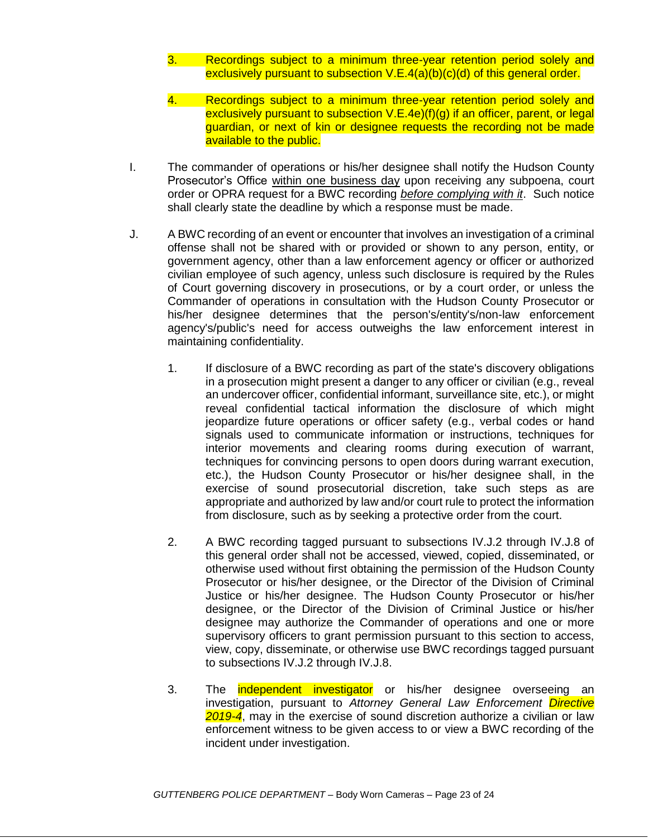- 3. Recordings subject to a minimum three-year retention period solely and exclusively pursuant to subsection V.E.4(a)(b)(c)(d) of this general order.
- 4. Recordings subject to a minimum three-year retention period solely and exclusively pursuant to subsection V.E.4e)(f)(g) if an officer, parent, or legal guardian, or next of kin or designee requests the recording not be made available to the public.
- I. The commander of operations or his/her designee shall notify the Hudson County Prosecutor's Office within one business day upon receiving any subpoena, court order or OPRA request for a BWC recording *before complying with it*. Such notice shall clearly state the deadline by which a response must be made.
- J. A BWC recording of an event or encounter that involves an investigation of a criminal offense shall not be shared with or provided or shown to any person, entity, or government agency, other than a law enforcement agency or officer or authorized civilian employee of such agency, unless such disclosure is required by the Rules of Court governing discovery in prosecutions, or by a court order, or unless the Commander of operations in consultation with the Hudson County Prosecutor or his/her designee determines that the person's/entity's/non-law enforcement agency's/public's need for access outweighs the law enforcement interest in maintaining confidentiality.
	- 1. If disclosure of a BWC recording as part of the state's discovery obligations in a prosecution might present a danger to any officer or civilian (e.g., reveal an undercover officer, confidential informant, surveillance site, etc.), or might reveal confidential tactical information the disclosure of which might jeopardize future operations or officer safety (e.g., verbal codes or hand signals used to communicate information or instructions, techniques for interior movements and clearing rooms during execution of warrant, techniques for convincing persons to open doors during warrant execution, etc.), the Hudson County Prosecutor or his/her designee shall, in the exercise of sound prosecutorial discretion, take such steps as are appropriate and authorized by law and/or court rule to protect the information from disclosure, such as by seeking a protective order from the court.
	- 2. A BWC recording tagged pursuant to subsections IV.J.2 through IV.J.8 of this general order shall not be accessed, viewed, copied, disseminated, or otherwise used without first obtaining the permission of the Hudson County Prosecutor or his/her designee, or the Director of the Division of Criminal Justice or his/her designee. The Hudson County Prosecutor or his/her designee, or the Director of the Division of Criminal Justice or his/her designee may authorize the Commander of operations and one or more supervisory officers to grant permission pursuant to this section to access, view, copy, disseminate, or otherwise use BWC recordings tagged pursuant to subsections IV.J.2 through IV.J.8.
	- 3. The independent investigator or his/her designee overseeing an investigation, pursuant to *Attorney General Law Enforcement Directive 2019-4*, may in the exercise of sound discretion authorize a civilian or law enforcement witness to be given access to or view a BWC recording of the incident under investigation.